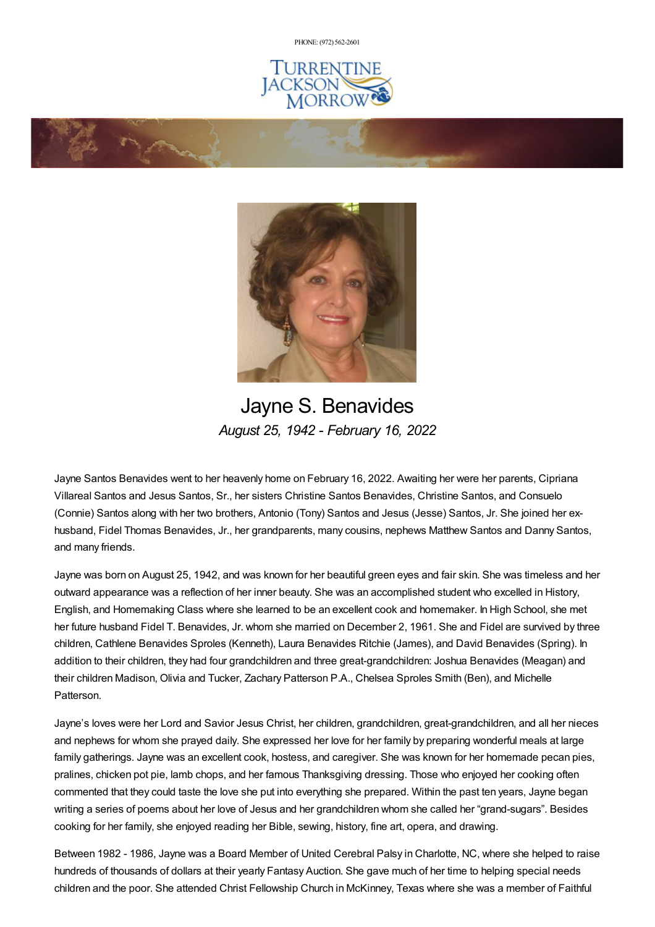PHONE: (972) [562-2601](tel:(972) 562-2601)







Jayne S. Benavides *August 25, 1942 - February 16, 2022*

Jayne Santos Benavides went to her heavenly home on February 16, 2022. Awaiting her were her parents, Cipriana Villareal Santos and Jesus Santos, Sr., her sisters Christine Santos Benavides, Christine Santos, and Consuelo (Connie) Santos along with her two brothers, Antonio (Tony) Santos and Jesus (Jesse) Santos, Jr. She joined her exhusband, Fidel Thomas Benavides, Jr., her grandparents, many cousins, nephews Matthew Santos and Danny Santos, and many friends.

Jayne was born on August 25, 1942, and was known for her beautiful green eyes and fair skin. She was timeless and her outward appearance was a reflection of her inner beauty. She was an accomplished student who excelled in History, English, and Homemaking Class where she learned to be an excellent cook and homemaker. In High School, she met her future husband Fidel T. Benavides, Jr. whom she married on December 2, 1961. She and Fidel are survived by three children, Cathlene Benavides Sproles (Kenneth), Laura Benavides Ritchie (James), and David Benavides (Spring). In addition to their children, they had four grandchildren and three great-grandchildren: Joshua Benavides (Meagan) and their children Madison, Olivia and Tucker, Zachary Patterson P.A., Chelsea Sproles Smith (Ben), and Michelle Patterson.

Jayne's loves were her Lord and Savior Jesus Christ, her children, grandchildren, great-grandchildren, and all her nieces and nephews for whom she prayed daily. She expressed her love for her family by preparing wonderful meals at large family gatherings. Jayne was an excellent cook, hostess, and caregiver. She was known for her homemade pecan pies, pralines, chicken pot pie, lamb chops, and her famous Thanksgiving dressing. Those who enjoyed her cooking often commented that they could taste the love she put into everything she prepared. Within the past ten years, Jayne began writing a series of poems about her love of Jesus and her grandchildren whom she called her "grand-sugars". Besides cooking for her family, she enjoyed reading her Bible, sewing, history, fine art, opera, and drawing.

Between 1982 - 1986, Jayne was a Board Member of United Cerebral Palsy in Charlotte, NC, where she helped to raise hundreds of thousands of dollars at their yearly Fantasy Auction. She gave much of her time to helping special needs children and the poor. She attended Christ Fellowship Church in McKinney, Texas where she was a member of Faithful